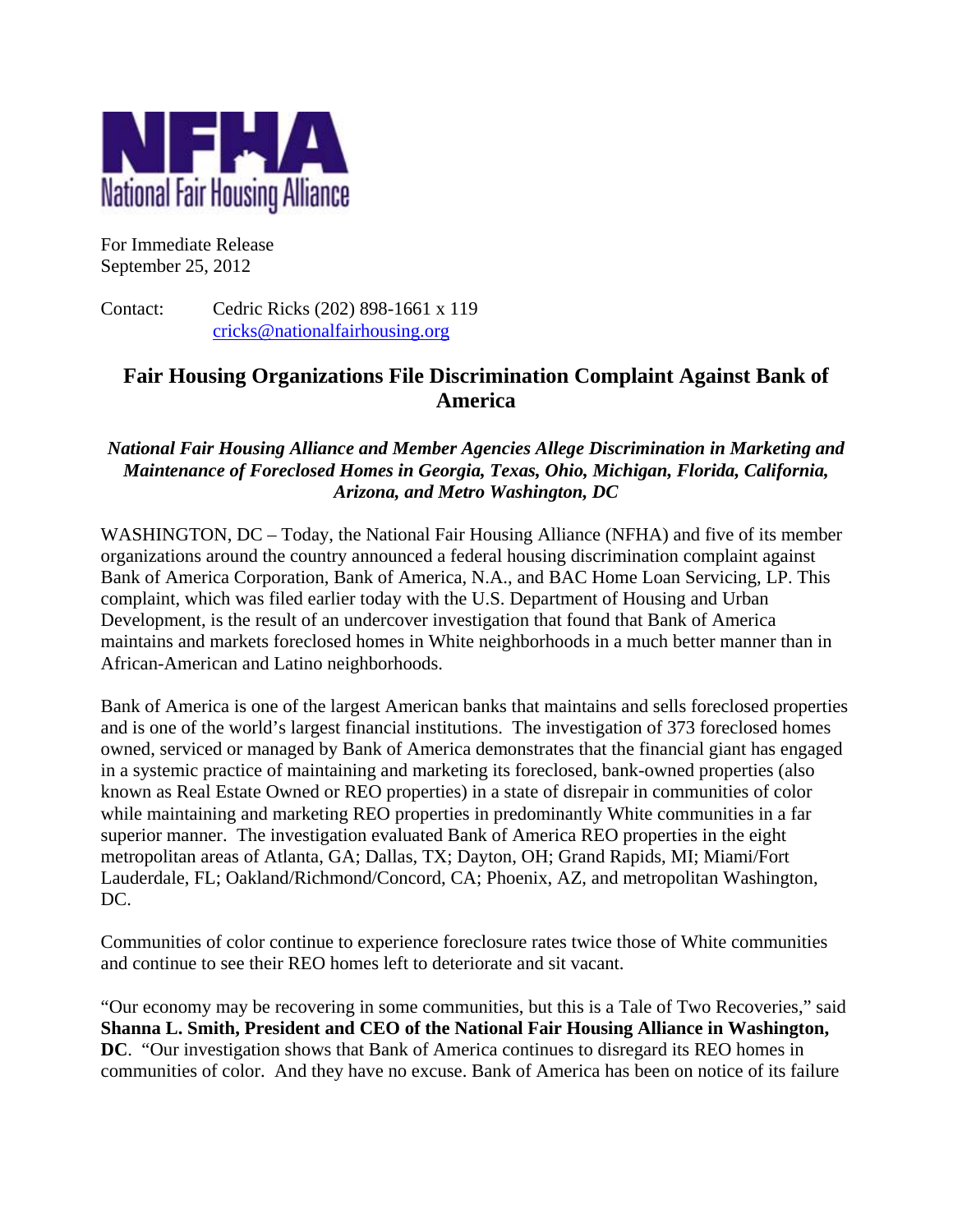

For Immediate Release September 25, 2012

Contact: Cedric Ricks (202) 898-1661 x 119 cricks@nationalfairhousing.org

# **Fair Housing Organizations File Discrimination Complaint Against Bank of America**

# *National Fair Housing Alliance and Member Agencies Allege Discrimination in Marketing and Maintenance of Foreclosed Homes in Georgia, Texas, Ohio, Michigan, Florida, California, Arizona, and Metro Washington, DC*

WASHINGTON, DC – Today, the National Fair Housing Alliance (NFHA) and five of its member organizations around the country announced a federal housing discrimination complaint against Bank of America Corporation, Bank of America, N.A., and BAC Home Loan Servicing, LP. This complaint, which was filed earlier today with the U.S. Department of Housing and Urban Development, is the result of an undercover investigation that found that Bank of America maintains and markets foreclosed homes in White neighborhoods in a much better manner than in African-American and Latino neighborhoods.

Bank of America is one of the largest American banks that maintains and sells foreclosed properties and is one of the world's largest financial institutions. The investigation of 373 foreclosed homes owned, serviced or managed by Bank of America demonstrates that the financial giant has engaged in a systemic practice of maintaining and marketing its foreclosed, bank-owned properties (also known as Real Estate Owned or REO properties) in a state of disrepair in communities of color while maintaining and marketing REO properties in predominantly White communities in a far superior manner. The investigation evaluated Bank of America REO properties in the eight metropolitan areas of Atlanta, GA; Dallas, TX; Dayton, OH; Grand Rapids, MI; Miami/Fort Lauderdale, FL; Oakland/Richmond/Concord, CA; Phoenix, AZ, and metropolitan Washington, DC.

Communities of color continue to experience foreclosure rates twice those of White communities and continue to see their REO homes left to deteriorate and sit vacant.

"Our economy may be recovering in some communities, but this is a Tale of Two Recoveries," said **Shanna L. Smith, President and CEO of the National Fair Housing Alliance in Washington, DC**. "Our investigation shows that Bank of America continues to disregard its REO homes in communities of color. And they have no excuse. Bank of America has been on notice of its failure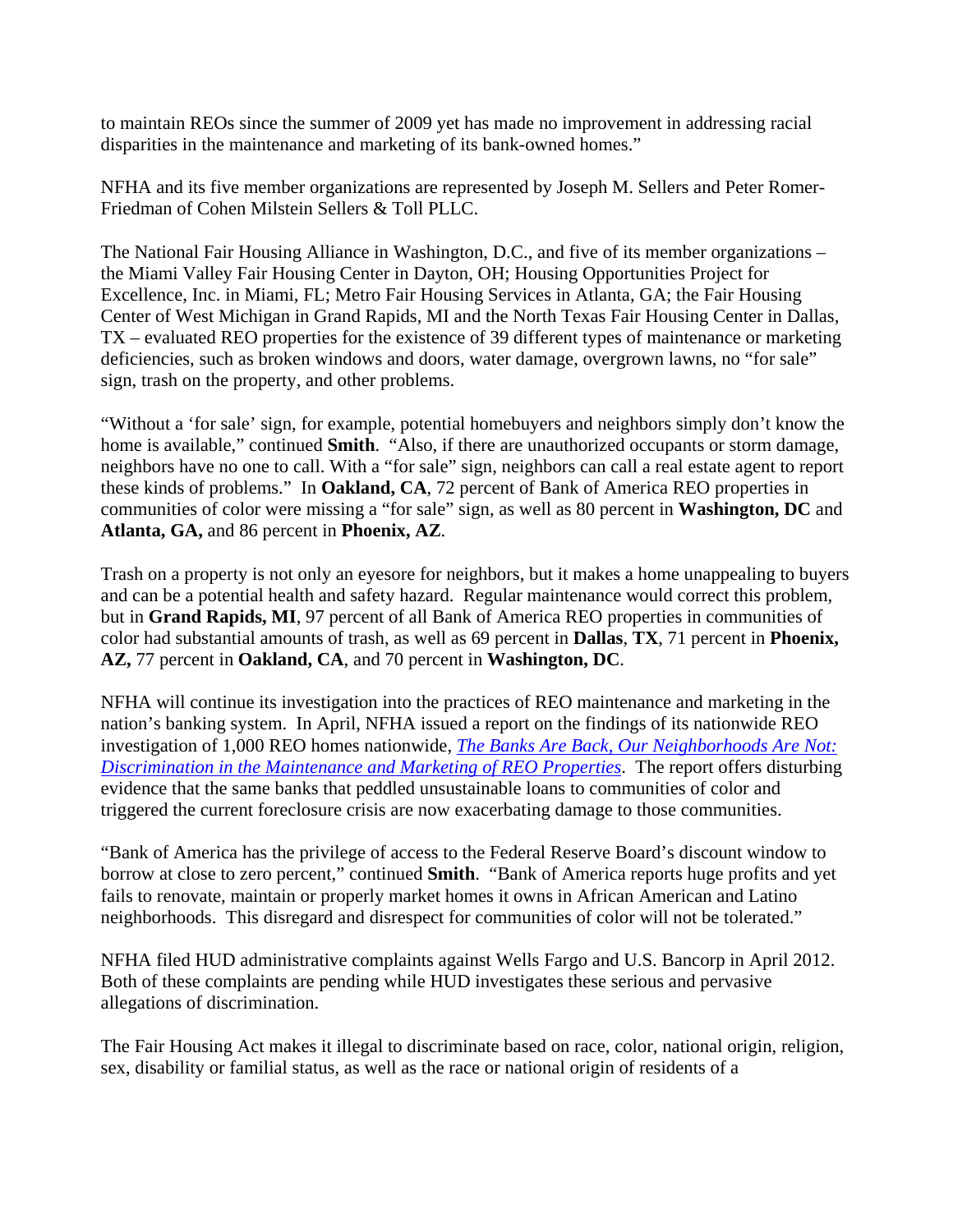to maintain REOs since the summer of 2009 yet has made no improvement in addressing racial disparities in the maintenance and marketing of its bank-owned homes."

NFHA and its five member organizations are represented by Joseph M. Sellers and Peter Romer-Friedman of Cohen Milstein Sellers & Toll PLLC.

The National Fair Housing Alliance in Washington, D.C., and five of its member organizations – the Miami Valley Fair Housing Center in Dayton, OH; Housing Opportunities Project for Excellence, Inc. in Miami, FL; Metro Fair Housing Services in Atlanta, GA; the Fair Housing Center of West Michigan in Grand Rapids, MI and the North Texas Fair Housing Center in Dallas, TX – evaluated REO properties for the existence of 39 different types of maintenance or marketing deficiencies, such as broken windows and doors, water damage, overgrown lawns, no "for sale" sign, trash on the property, and other problems.

"Without a 'for sale' sign, for example, potential homebuyers and neighbors simply don't know the home is available," continued **Smith**. "Also, if there are unauthorized occupants or storm damage, neighbors have no one to call. With a "for sale" sign, neighbors can call a real estate agent to report these kinds of problems." In **Oakland, CA**, 72 percent of Bank of America REO properties in communities of color were missing a "for sale" sign, as well as 80 percent in **Washington, DC** and **Atlanta, GA,** and 86 percent in **Phoenix, AZ**.

Trash on a property is not only an eyesore for neighbors, but it makes a home unappealing to buyers and can be a potential health and safety hazard. Regular maintenance would correct this problem, but in **Grand Rapids, MI**, 97 percent of all Bank of America REO properties in communities of color had substantial amounts of trash, as well as 69 percent in **Dallas**, **TX**, 71 percent in **Phoenix, AZ,** 77 percent in **Oakland, CA**, and 70 percent in **Washington, DC**.

NFHA will continue its investigation into the practices of REO maintenance and marketing in the nation's banking system. In April, NFHA issued a report on the findings of its nationwide REO investigation of 1,000 REO homes nationwide, *The Banks Are Back, Our Neighborhoods Are Not: Discrimination in the Maintenance and Marketing of REO Properties*. The report offers disturbing evidence that the same banks that peddled unsustainable loans to communities of color and triggered the current foreclosure crisis are now exacerbating damage to those communities.

"Bank of America has the privilege of access to the Federal Reserve Board's discount window to borrow at close to zero percent," continued **Smith**. "Bank of America reports huge profits and yet fails to renovate, maintain or properly market homes it owns in African American and Latino neighborhoods. This disregard and disrespect for communities of color will not be tolerated."

NFHA filed HUD administrative complaints against Wells Fargo and U.S. Bancorp in April 2012. Both of these complaints are pending while HUD investigates these serious and pervasive allegations of discrimination.

The Fair Housing Act makes it illegal to discriminate based on race, color, national origin, religion, sex, disability or familial status, as well as the race or national origin of residents of a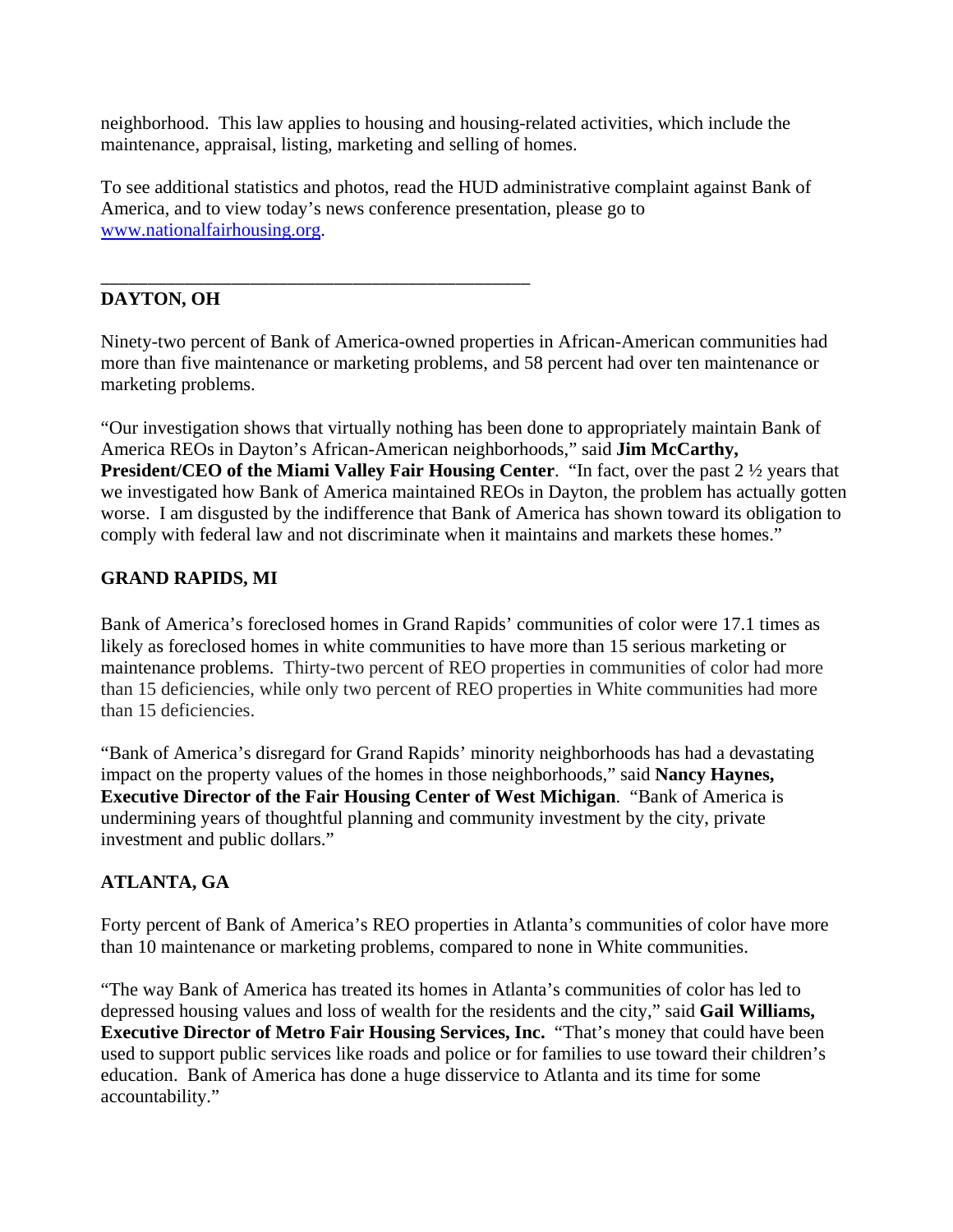neighborhood. This law applies to housing and housing-related activities, which include the maintenance, appraisal, listing, marketing and selling of homes.

To see additional statistics and photos, read the HUD administrative complaint against Bank of America, and to view today's news conference presentation, please go to www.nationalfairhousing.org.

#### \_\_\_\_\_\_\_\_\_\_\_\_\_\_\_\_\_\_\_\_\_\_\_\_\_\_\_\_\_\_\_\_\_\_\_\_\_\_\_\_\_\_\_\_\_\_ **DAYTON, OH**

Ninety-two percent of Bank of America-owned properties in African-American communities had more than five maintenance or marketing problems, and 58 percent had over ten maintenance or marketing problems.

"Our investigation shows that virtually nothing has been done to appropriately maintain Bank of America REOs in Dayton's African-American neighborhoods," said **Jim McCarthy, President/CEO of the Miami Valley Fair Housing Center.** "In fact, over the past 2  $\frac{1}{2}$  years that we investigated how Bank of America maintained REOs in Dayton, the problem has actually gotten worse. I am disgusted by the indifference that Bank of America has shown toward its obligation to comply with federal law and not discriminate when it maintains and markets these homes."

# **GRAND RAPIDS, MI**

Bank of America's foreclosed homes in Grand Rapids' communities of color were 17.1 times as likely as foreclosed homes in white communities to have more than 15 serious marketing or maintenance problems. Thirty-two percent of REO properties in communities of color had more than 15 deficiencies, while only two percent of REO properties in White communities had more than 15 deficiencies.

"Bank of America's disregard for Grand Rapids' minority neighborhoods has had a devastating impact on the property values of the homes in those neighborhoods," said **Nancy Haynes, Executive Director of the Fair Housing Center of West Michigan**. "Bank of America is undermining years of thoughtful planning and community investment by the city, private investment and public dollars."

# **ATLANTA, GA**

Forty percent of Bank of America's REO properties in Atlanta's communities of color have more than 10 maintenance or marketing problems, compared to none in White communities.

"The way Bank of America has treated its homes in Atlanta's communities of color has led to depressed housing values and loss of wealth for the residents and the city," said **Gail Williams, Executive Director of Metro Fair Housing Services, Inc.** "That's money that could have been used to support public services like roads and police or for families to use toward their children's education. Bank of America has done a huge disservice to Atlanta and its time for some accountability."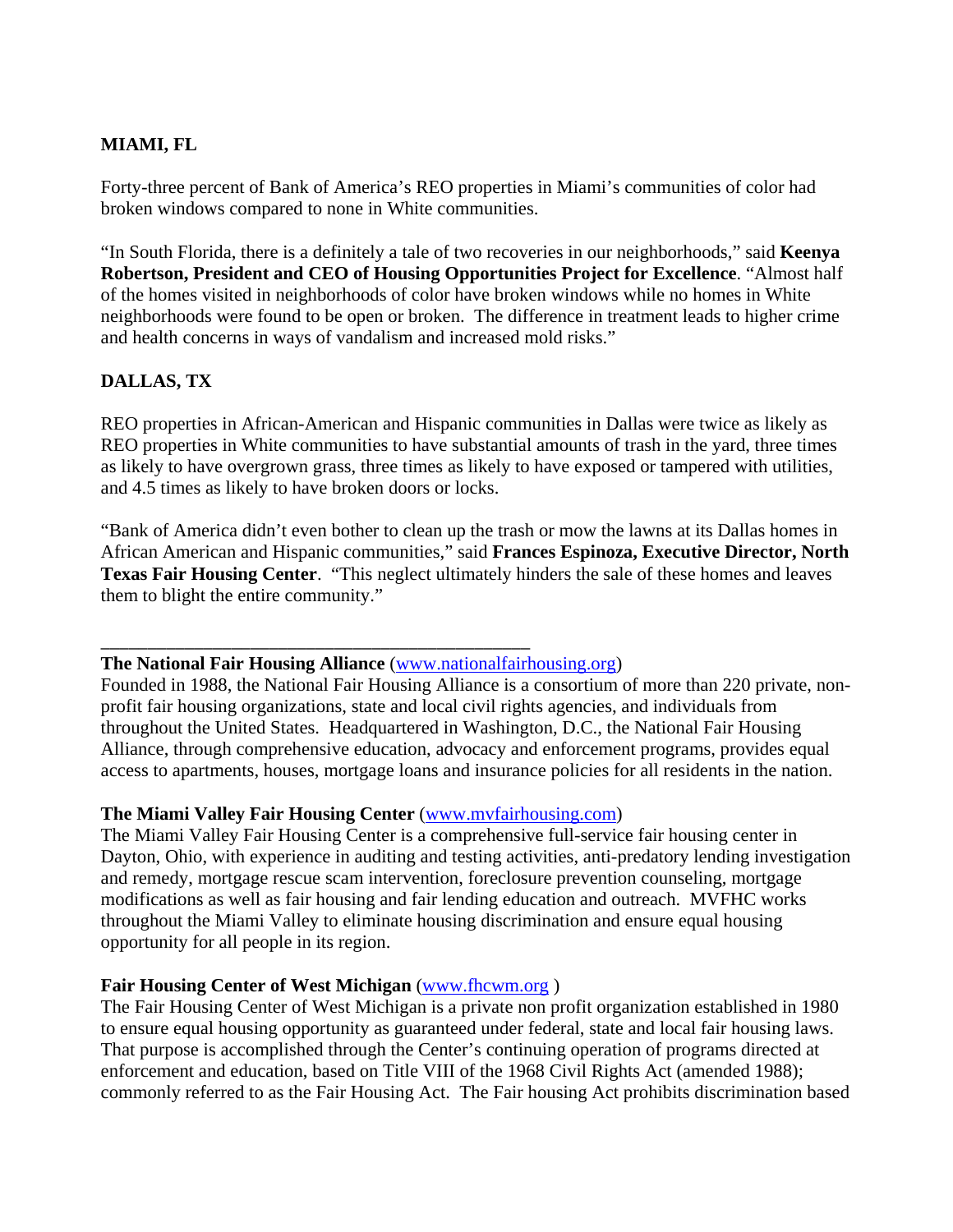# **MIAMI, FL**

Forty-three percent of Bank of America's REO properties in Miami's communities of color had broken windows compared to none in White communities.

"In South Florida, there is a definitely a tale of two recoveries in our neighborhoods," said **Keenya Robertson, President and CEO of Housing Opportunities Project for Excellence**. "Almost half of the homes visited in neighborhoods of color have broken windows while no homes in White neighborhoods were found to be open or broken. The difference in treatment leads to higher crime and health concerns in ways of vandalism and increased mold risks."

# **DALLAS, TX**

REO properties in African-American and Hispanic communities in Dallas were twice as likely as REO properties in White communities to have substantial amounts of trash in the yard, three times as likely to have overgrown grass, three times as likely to have exposed or tampered with utilities, and 4.5 times as likely to have broken doors or locks.

"Bank of America didn't even bother to clean up the trash or mow the lawns at its Dallas homes in African American and Hispanic communities," said **Frances Espinoza, Executive Director, North Texas Fair Housing Center**. "This neglect ultimately hinders the sale of these homes and leaves them to blight the entire community."

#### \_\_\_\_\_\_\_\_\_\_\_\_\_\_\_\_\_\_\_\_\_\_\_\_\_\_\_\_\_\_\_\_\_\_\_\_\_\_\_\_\_\_\_\_\_\_ **The National Fair Housing Alliance** (www.nationalfairhousing.org)

Founded in 1988, the National Fair Housing Alliance is a consortium of more than 220 private, nonprofit fair housing organizations, state and local civil rights agencies, and individuals from throughout the United States. Headquartered in Washington, D.C., the National Fair Housing Alliance, through comprehensive education, advocacy and enforcement programs, provides equal access to apartments, houses, mortgage loans and insurance policies for all residents in the nation.

# **The Miami Valley Fair Housing Center** (www.mvfairhousing.com)

The Miami Valley Fair Housing Center is a comprehensive full-service fair housing center in Dayton, Ohio, with experience in auditing and testing activities, anti-predatory lending investigation and remedy, mortgage rescue scam intervention, foreclosure prevention counseling, mortgage modifications as well as fair housing and fair lending education and outreach. MVFHC works throughout the Miami Valley to eliminate housing discrimination and ensure equal housing opportunity for all people in its region.

# **Fair Housing Center of West Michigan** (www.fhcwm.org)

The Fair Housing Center of West Michigan is a private non profit organization established in 1980 to ensure equal housing opportunity as guaranteed under federal, state and local fair housing laws. That purpose is accomplished through the Center's continuing operation of programs directed at enforcement and education, based on Title VIII of the 1968 Civil Rights Act (amended 1988); commonly referred to as the Fair Housing Act. The Fair housing Act prohibits discrimination based